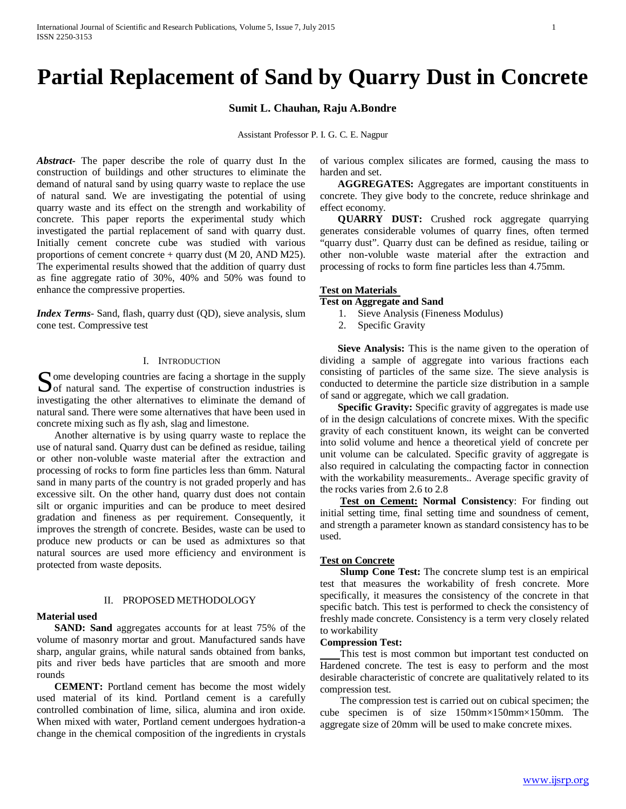# **Partial Replacement of Sand by Quarry Dust in Concrete**

**Sumit L. Chauhan, Raju A.Bondre**

Assistant Professor P. I. G. C. E. Nagpur

*Abstract***-** The paper describe the role of quarry dust In the construction of buildings and other structures to eliminate the demand of natural sand by using quarry waste to replace the use of natural sand. We are investigating the potential of using quarry waste and its effect on the strength and workability of concrete. This paper reports the experimental study which investigated the partial replacement of sand with quarry dust. Initially cement concrete cube was studied with various proportions of cement concrete + quarry dust (M 20, AND M25). The experimental results showed that the addition of quarry dust as fine aggregate ratio of 30%, 40% and 50% was found to enhance the compressive properties.

*Index Terms*- Sand, flash, quarry dust (QD), sieve analysis, slum cone test. Compressive test

## I. INTRODUCTION

Some developing countries are facing a shortage in the supply<br>
Sof natural sand. The expertise of construction industries is  $\bigcup$  of natural sand. The expertise of construction industries is investigating the other alternatives to eliminate the demand of natural sand. There were some alternatives that have been used in concrete mixing such as fly ash, slag and limestone.

 Another alternative is by using quarry waste to replace the use of natural sand. Quarry dust can be defined as residue, tailing or other non-voluble waste material after the extraction and processing of rocks to form fine particles less than 6mm. Natural sand in many parts of the country is not graded properly and has excessive silt. On the other hand, quarry dust does not contain silt or organic impurities and can be produce to meet desired gradation and fineness as per requirement. Consequently, it improves the strength of concrete. Besides, waste can be used to produce new products or can be used as admixtures so that natural sources are used more efficiency and environment is protected from waste deposits.

#### II. PROPOSED METHODOLOGY

#### **Material used**

 **SAND: Sand** aggregates accounts for at least 75% of the volume of masonry mortar and grout. Manufactured sands have sharp, angular grains, while natural sands obtained from banks, pits and river beds have particles that are smooth and more rounds

 **CEMENT:** Portland cement has become the most widely used material of its kind. Portland cement is a carefully controlled combination of lime, silica, alumina and iron oxide. When mixed with water, Portland cement undergoes hydration-a change in the chemical composition of the ingredients in crystals of various complex silicates are formed, causing the mass to harden and set.

 **AGGREGATES:** Aggregates are important constituents in concrete. They give body to the concrete, reduce shrinkage and effect economy.

 **QUARRY DUST:** Crushed rock aggregate quarrying generates considerable volumes of quarry fines, often termed "quarry dust". Quarry dust can be defined as residue, tailing or other non-voluble waste material after the extraction and processing of rocks to form fine particles less than 4.75mm.

## **Test on Materials**

**Test on Aggregate and Sand**

- 1. Sieve Analysis (Fineness Modulus)
- 2. Specific Gravity

 **Sieve Analysis:** This is the name given to the operation of dividing a sample of aggregate into various fractions each consisting of particles of the same size. The sieve analysis is conducted to determine the particle size distribution in a sample of sand or aggregate, which we call gradation.

**Specific Gravity:** Specific gravity of aggregates is made use of in the design calculations of concrete mixes. With the specific gravity of each constituent known, its weight can be converted into solid volume and hence a theoretical yield of concrete per unit volume can be calculated. Specific gravity of aggregate is also required in calculating the compacting factor in connection with the workability measurements.. Average specific gravity of the rocks varies from 2.6 to 2.8

 **Test on Cement: Normal Consistency**: For finding out initial setting time, final setting time and soundness of cement, and strength a parameter known as standard consistency has to be used.

## **Test on Concrete**

 **Slump Cone Test:** The concrete slump test is an empirical test that measures the workability of fresh concrete. More specifically, it measures the consistency of the concrete in that specific batch. This test is performed to check the consistency of freshly made concrete. Consistency is a term very closely related to workability

### **Compression Test:**

This test is most common but important test conducted on Hardened concrete. The test is easy to perform and the most desirable characteristic of concrete are qualitatively related to its compression test.

The compression test is carried out on cubical specimen; the cube specimen is of size 150mm×150mm×150mm. The aggregate size of 20mm will be used to make concrete mixes.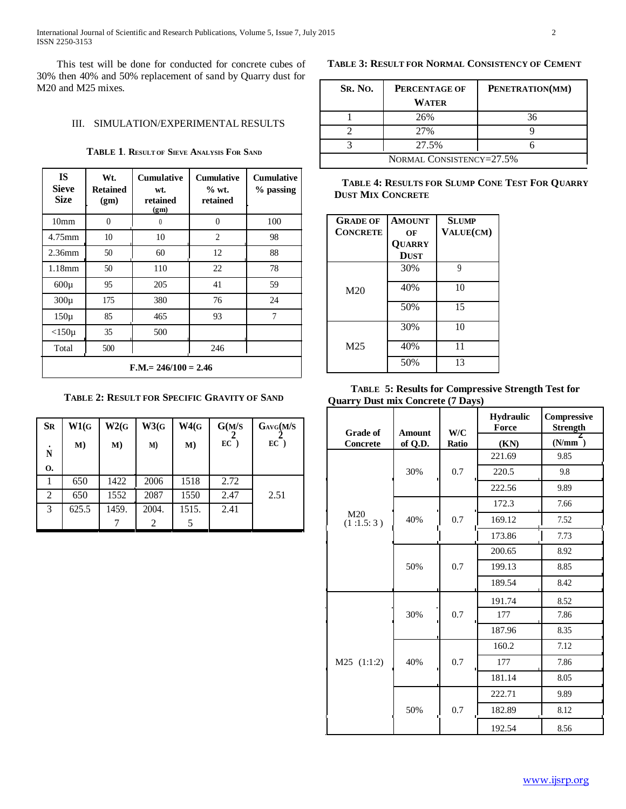International Journal of Scientific and Research Publications, Volume 5, Issue 7, July 2015 2 ISSN 2250-3153

This test will be done for conducted for concrete cubes of 30% then 40% and 50% replacement of sand by Quarry dust for M20 and M25 mixes*.*

## III. SIMULATION/EXPERIMENTAL RESULTS

**TABLE 1**. **RESULT OF SIEVE ANALYSIS FOR SAND**

| <b>IS</b><br><b>Sieve</b><br><b>Size</b> | Wt.<br><b>Retained</b><br>(gm) | <b>Cumulative</b><br>wt.<br>retained<br>(gm) | <b>Cumulative</b><br>$%$ wt.<br>retained | <b>Cumulative</b><br>% passing |
|------------------------------------------|--------------------------------|----------------------------------------------|------------------------------------------|--------------------------------|
| 10 <sub>mm</sub>                         | $\theta$                       | $\theta$                                     | $\theta$                                 | 100                            |
| 4.75mm                                   | 10                             | 10                                           | $\overline{c}$                           | 98                             |
| $2.36$ mm                                | 50                             | 60                                           | 12                                       | 88                             |
| $1.18$ mm                                | 50                             | 110                                          | 22                                       | 78                             |
| $600\mu$                                 | 95                             | 205                                          | 41                                       | 59                             |
| $300\mu$                                 | 175                            | 380                                          | 76                                       | 24                             |
| $150\mu$                                 | 85                             | 465                                          | 93                                       | 7                              |
| $<$ 150 $\mu$                            | 35                             | 500                                          |                                          |                                |
| Total                                    | 500                            |                                              | 246                                      |                                |
| $F.M = 246/100 = 2.46$                   |                                |                                              |                                          |                                |

**TABLE 2: RESULT FOR SPECIFIC GRAVITY OF SAND**

| <b>SR</b> | W1(G)        | W2(G) | W3(G) | W4(G) | G(M/S) | $G_{AVG}(M/S)$ |
|-----------|--------------|-------|-------|-------|--------|----------------|
| ٠<br>N    | $\mathbf{M}$ | M)    | M)    | M)    | $EC$ ) | $EC$ )         |
| 0.        |              |       |       |       |        |                |
|           | 650          | 1422  | 2006  | 1518  | 2.72   |                |
| 2         | 650          | 1552  | 2087  | 1550  | 2.47   | 2.51           |
| 3         | 625.5        | 1459. | 2004. | 1515. | 2.41   |                |
|           |              |       |       |       |        |                |

## **TABLE 3: RESULT FOR NORMAL CONSISTENCY OF CEMENT**

| <b>SR. NO.</b>           | PERCENTAGE OF<br>WATER | PENETRATION(MM) |  |  |
|--------------------------|------------------------|-----------------|--|--|
|                          | 26%                    | 36              |  |  |
|                          | 27%                    |                 |  |  |
|                          | 27.5%                  |                 |  |  |
| NORMAL CONSISTENCY=27.5% |                        |                 |  |  |

## **TABLE 4: RESULTS FOR SLUMP CONE TEST FOR QUARRY DUST MIX CONCRETE**

| <b>GRADE OF</b><br><b>CONCRETE</b> | <b>AMOUNT</b><br>OF   | <b>SLUMP</b><br>VALUE(CM) |
|------------------------------------|-----------------------|---------------------------|
|                                    | QUARRY<br><b>DUST</b> |                           |
|                                    | 30%                   | 9                         |
| M <sub>20</sub>                    | 40%                   | 10                        |
|                                    | 50%                   | 15                        |
|                                    | 30%                   | 10                        |
| M <sub>25</sub>                    | 40%                   | 11                        |
|                                    | 50%                   | 13                        |

# **TABLE 5: Results for Compressive Strength Test for Quarry Dust mix Concrete (7 Days)**

| <b>Grade of</b>  | <b>Amount</b> |                                                    | Hydraulic<br>Force | Compressive<br><b>Strength</b> |
|------------------|---------------|----------------------------------------------------|--------------------|--------------------------------|
| <b>Concrete</b>  | of Q.D.       | <b>Ratio</b>                                       | (KN)               | (N/mm)                         |
|                  |               |                                                    | 221.69             | 9.85                           |
|                  | 30%           | 0.7                                                | 220.5              | 9.8                            |
|                  |               |                                                    | 222.56             | 9.89                           |
|                  |               |                                                    | 172.3              | 7.66                           |
| M20<br>(1:1.5:3) | 40%           | 0.7                                                | 169.12             | 7.52                           |
|                  |               |                                                    | 173.86             | 7.73                           |
|                  |               |                                                    | 200.65             | 8.92                           |
|                  | 50%           | 0.7                                                | 199.13             | 8.85                           |
|                  |               |                                                    | 189.54             | 8.42                           |
|                  |               |                                                    | 191.74             | 8.52                           |
|                  | 30%           | 0.7                                                | 177                | 7.86                           |
|                  |               |                                                    | 187.96             | 8.35                           |
|                  |               |                                                    | 160.2              | 7.12                           |
| M25 (1:1:2)      | 40%           | 0.7                                                | 177                | 7.86                           |
|                  |               | W/C<br>181.14<br>222.71<br>0.7<br>182.89<br>192.54 | 8.05               |                                |
|                  |               |                                                    |                    | 9.89                           |
|                  | 50%           |                                                    |                    | 8.12                           |
|                  |               |                                                    |                    | 8.56                           |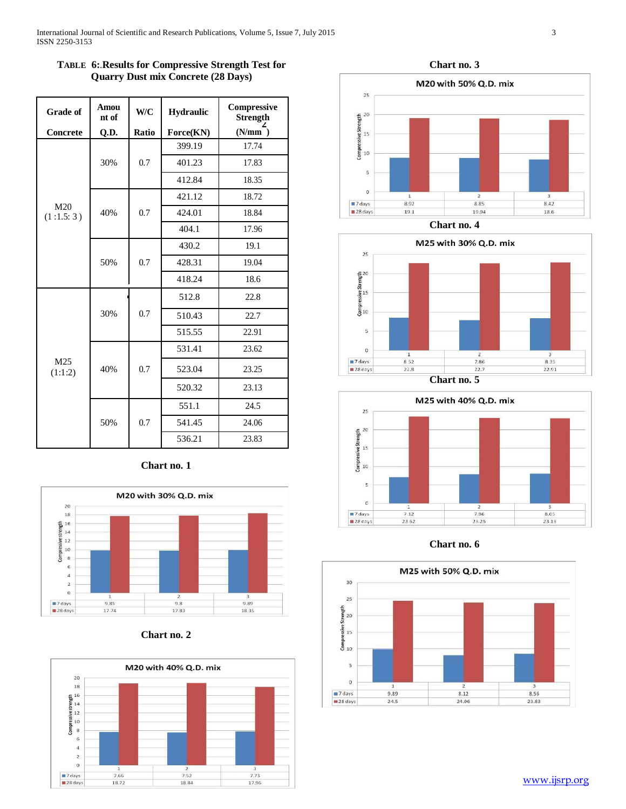| <b>Grade of</b>  | Amou<br>nt of | W/C                     | <b>Hydraulic</b> | Compressive<br><b>Strength</b> |
|------------------|---------------|-------------------------|------------------|--------------------------------|
| Concrete         | Q.D.          | Ratio                   | Force(KN)        | $(N/mm$ <sup>-</sup> )         |
|                  | 30%           | 399.19<br>0.7<br>401.23 | 17.74            |                                |
|                  |               |                         |                  | 17.83                          |
|                  |               |                         | 412.84           | 18.35                          |
|                  | 40%           |                         | 421.12           | 18.72                          |
| M20<br>(1:1.5:3) |               | 0.7                     | 424.01           | 18.84                          |
|                  |               |                         | 404.1            | 17.96                          |
|                  | 50%           |                         | 430.2            | 19.1                           |
|                  |               | 0.7                     | 428.31           | 19.04                          |
|                  |               |                         | 418.24           | 18.6                           |
| M25<br>(1:1:2)   | 30%           |                         | 512.8<br>22.8    |                                |
|                  |               | 0.7                     | 510.43           | 22.7                           |
|                  |               |                         | 515.55           | 22.91                          |
|                  |               |                         | 531.41           | 23.62                          |
|                  | 40%           | 0.7<br>523.04           | 23.25            |                                |
|                  |               |                         | 520.32           | 23.13                          |
|                  |               |                         | 551.1            | 24.5                           |
|                  | 50%           | 0.7                     | 541.45           | 24.06                          |
|                  |               |                         | 536.21           | 23.83                          |

# **TABLE 6:**.**Results for Compressive Strength Test for Quarry Dust mix Concrete (28 Days)**













**Chart no. 5**



**Chart no. 6**